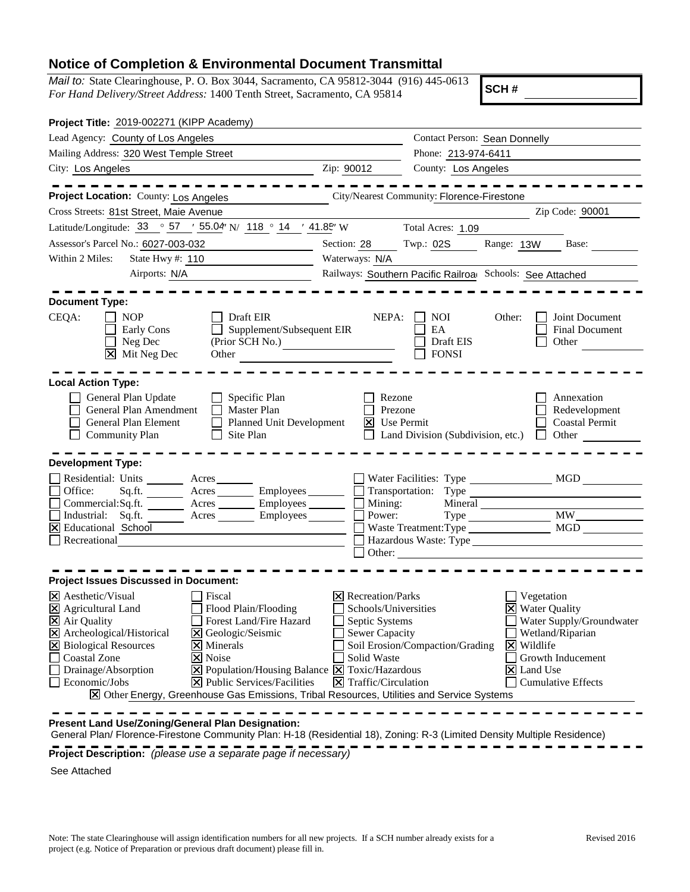## **Notice of Completion & Environmental Document Transmittal**

*Mail to:* State Clearinghouse, P. O. Box 3044, Sacramento, CA 95812-3044 (916) 445-0613 *For Hand Delivery/Street Address:* 1400 Tenth Street, Sacramento, CA 95814

**SCH #**

| Project Title: 2019-002271 (KIPP Academy)                                                                                                                                                                                                                                                                                                                                                                                                                                                                                                                             |                                                                                                                                           |                                         |                                                                             |                                                                                                |
|-----------------------------------------------------------------------------------------------------------------------------------------------------------------------------------------------------------------------------------------------------------------------------------------------------------------------------------------------------------------------------------------------------------------------------------------------------------------------------------------------------------------------------------------------------------------------|-------------------------------------------------------------------------------------------------------------------------------------------|-----------------------------------------|-----------------------------------------------------------------------------|------------------------------------------------------------------------------------------------|
| Lead Agency: County of Los Angeles                                                                                                                                                                                                                                                                                                                                                                                                                                                                                                                                    | <b>Contact Person: Sean Donnelly</b>                                                                                                      |                                         |                                                                             |                                                                                                |
| Mailing Address: 320 West Temple Street                                                                                                                                                                                                                                                                                                                                                                                                                                                                                                                               | Phone: 213-974-6411                                                                                                                       |                                         |                                                                             |                                                                                                |
| City: Los Angeles<br><u> 1989 - Johann Barbara, martin amerikan personal (</u>                                                                                                                                                                                                                                                                                                                                                                                                                                                                                        | Zip: 90012                                                                                                                                | County: Los Angeles                     |                                                                             |                                                                                                |
|                                                                                                                                                                                                                                                                                                                                                                                                                                                                                                                                                                       |                                                                                                                                           |                                         |                                                                             |                                                                                                |
| Project Location: County: Los Angeles                                                                                                                                                                                                                                                                                                                                                                                                                                                                                                                                 | City/Nearest Community: Florence-Firestone                                                                                                |                                         |                                                                             |                                                                                                |
| Cross Streets: 81st Street, Maie Avenue                                                                                                                                                                                                                                                                                                                                                                                                                                                                                                                               |                                                                                                                                           |                                         |                                                                             | Zip Code: 90001                                                                                |
| Latitude/Longitude: $33 \degree 57$ / $55.04$ N/ $118 \degree 14$ / $41.85$ W                                                                                                                                                                                                                                                                                                                                                                                                                                                                                         |                                                                                                                                           | Total Acres: 1.09                       |                                                                             |                                                                                                |
| Assessor's Parcel No.: 6027-003-032<br><u> 1980 - Johann Barnett, fransk politiker (</u>                                                                                                                                                                                                                                                                                                                                                                                                                                                                              | Section: 28                                                                                                                               | Twp.: 02S                               |                                                                             | Range: 13W Base:                                                                               |
| State Hwy #: 110<br>Within 2 Miles:                                                                                                                                                                                                                                                                                                                                                                                                                                                                                                                                   | Waterways: N/A                                                                                                                            |                                         |                                                                             |                                                                                                |
| Airports: N/A                                                                                                                                                                                                                                                                                                                                                                                                                                                                                                                                                         | Railways: Southern Pacific Railroa Schools: See Attached                                                                                  |                                         |                                                                             |                                                                                                |
|                                                                                                                                                                                                                                                                                                                                                                                                                                                                                                                                                                       |                                                                                                                                           |                                         |                                                                             |                                                                                                |
| <b>Document Type:</b>                                                                                                                                                                                                                                                                                                                                                                                                                                                                                                                                                 |                                                                                                                                           |                                         |                                                                             |                                                                                                |
| CEQA:<br>Draft EIR<br><b>NOP</b><br>Supplement/Subsequent EIR<br>Early Cons<br>Neg Dec<br>(Prior SCH No.)<br><b>X</b> Mit Neg Dec<br>Other                                                                                                                                                                                                                                                                                                                                                                                                                            | NEPA:                                                                                                                                     | NOI.<br>EA<br>Draft EIS<br><b>FONSI</b> | Other:                                                                      | Joint Document<br>Final Document<br>Other                                                      |
| General Plan Update<br>Specific Plan<br>General Plan Amendment<br><b>Master Plan</b><br>Planned Unit Development<br>General Plan Element<br>Community Plan<br>Site Plan<br><b>Development Type:</b><br>Residential: Units<br>Acres<br>Office:<br>Acres __________ Employees __________ [                                                                                                                                                                                                                                                                              | Rezone<br>Prezone<br>$X$ Use Permit                                                                                                       | Land Division (Subdivision, etc.)       |                                                                             | Annexation<br>Redevelopment<br><b>Coastal Permit</b><br>Other<br>Transportation: Type          |
| Sq.fit.<br>Commercial:Sq.ft. ________ Acres ________ Employees _______                                                                                                                                                                                                                                                                                                                                                                                                                                                                                                |                                                                                                                                           |                                         |                                                                             |                                                                                                |
| Industrial: Sq.ft. ______ Acres _______ Employees ______                                                                                                                                                                                                                                                                                                                                                                                                                                                                                                              |                                                                                                                                           | ] Mining:<br>] Power:                   |                                                                             |                                                                                                |
| $\overline{\mathsf{X}}$ Educational School<br>Recreational                                                                                                                                                                                                                                                                                                                                                                                                                                                                                                            |                                                                                                                                           | Other:                                  |                                                                             |                                                                                                |
| <b>Project Issues Discussed in Document:</b>                                                                                                                                                                                                                                                                                                                                                                                                                                                                                                                          |                                                                                                                                           |                                         |                                                                             |                                                                                                |
| $\boxtimes$ Aesthetic/Visual<br>Fiscal<br>X Agricultural Land<br>Flood Plain/Flooding<br>X Air Quality<br>Forest Land/Fire Hazard<br>Archeological/Historical<br>X Geologic/Seismic<br>⊠<br><b>X</b> Biological Resources<br>$\boxtimes$ Minerals<br><b>Coastal Zone</b><br>X Noise<br>Drainage/Absorption<br>$\boxtimes$ Population/Housing Balance $\boxtimes$ Toxic/Hazardous<br>$\Box$ Economic/Jobs<br>$\overline{\mathsf{X}}$ Public Services/Facilities<br>$\boxtimes$ Other Energy, Greenhouse Gas Emissions, Tribal Resources, Utilities and Service Systems | $\triangleright$ Recreation/Parks<br>Schools/Universities<br>Septic Systems<br>Sewer Capacity<br>Solid Waste<br>$\Xi$ Traffic/Circulation | Soil Erosion/Compaction/Grading         | Vegetation<br><b>X</b> Water Quality<br>$\times$ Wildlife<br>$ X $ Land Use | Water Supply/Groundwater<br>Wetland/Riparian<br>Growth Inducement<br><b>Cumulative Effects</b> |
| Present Land Use/Zoning/General Plan Designation:<br>General Plan/ Florence-Firestone Community Plan: H-18 (Residential 18), Zoning: R-3 (Limited Density Multiple Residence)                                                                                                                                                                                                                                                                                                                                                                                         |                                                                                                                                           |                                         |                                                                             |                                                                                                |

**Project Description:** *(please use a separate page if necessary)*

See Attached